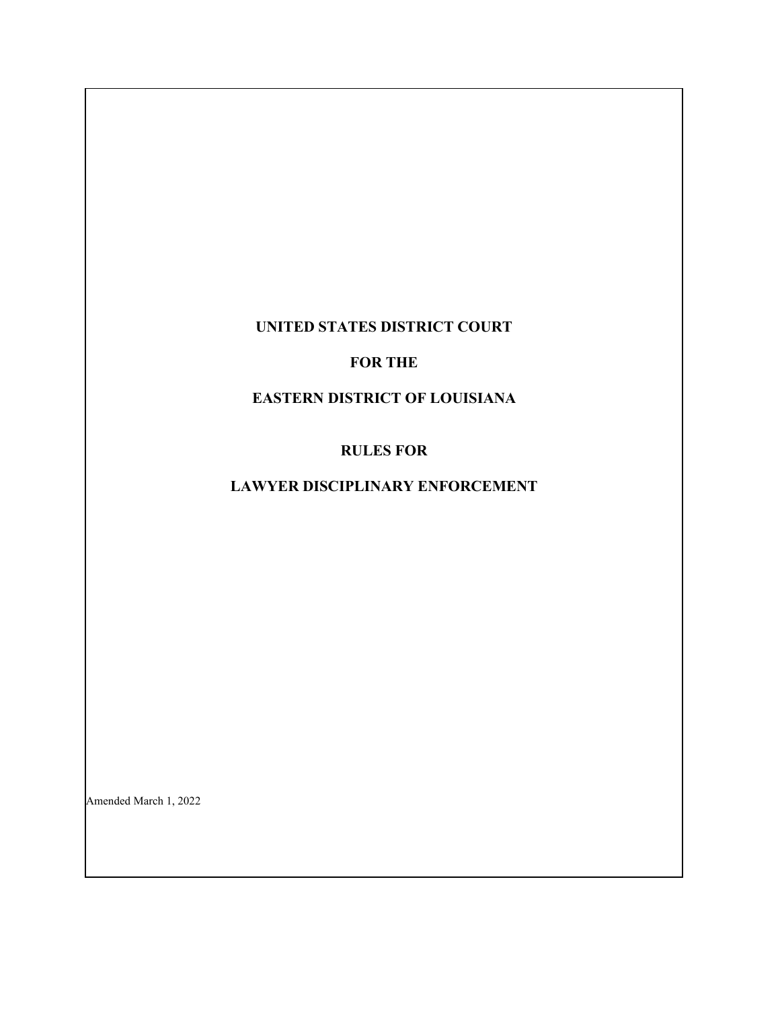## **UNITED STATES DISTRICT COURT**

## **FOR THE**

## **EASTERN DISTRICT OF LOUISIANA**

## **RULES FOR**

# **LAWYER DISCIPLINARY ENFORCEMENT**

Amended March 1, 2022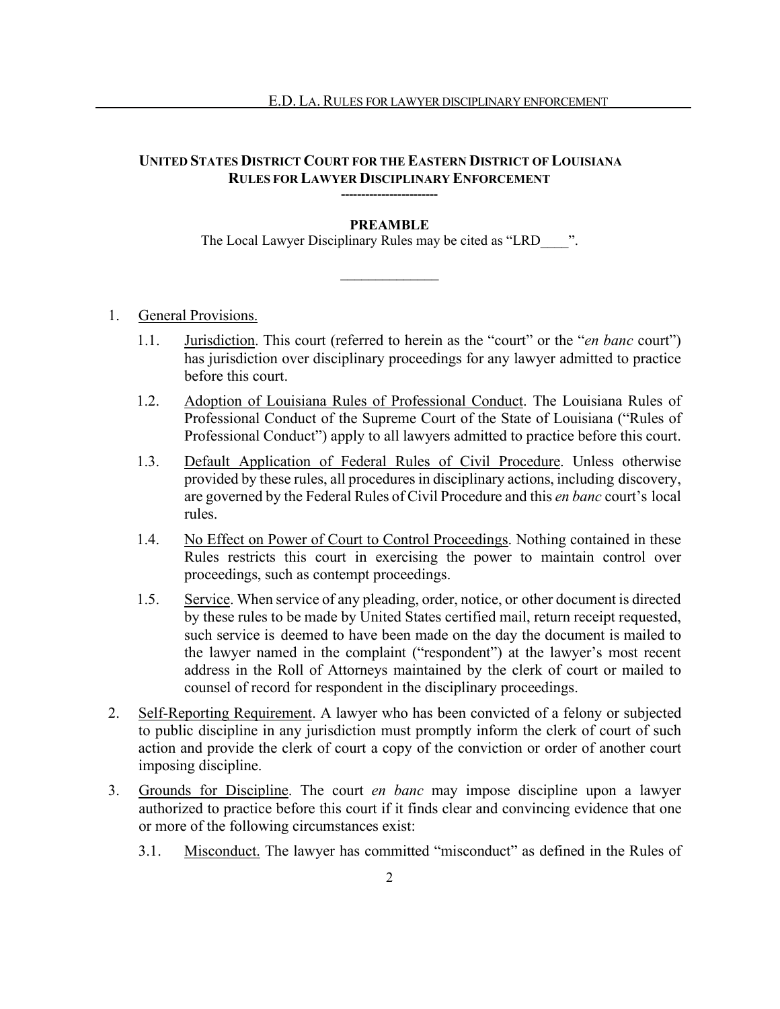## **UNITED STATES DISTRICT COURT FOR THE EASTERN DISTRICT OF LOUISIANA RULES FOR LAWYER DISCIPLINARY ENFORCEMENT**

## **PREAMBLE**

**------------------------**

The Local Lawyer Disciplinary Rules may be cited as "LRD  $\qquad$  ".

 $\overline{\phantom{a}}$   $\overline{\phantom{a}}$   $\overline{\phantom{a}}$   $\overline{\phantom{a}}$   $\overline{\phantom{a}}$   $\overline{\phantom{a}}$   $\overline{\phantom{a}}$   $\overline{\phantom{a}}$   $\overline{\phantom{a}}$   $\overline{\phantom{a}}$   $\overline{\phantom{a}}$   $\overline{\phantom{a}}$   $\overline{\phantom{a}}$   $\overline{\phantom{a}}$   $\overline{\phantom{a}}$   $\overline{\phantom{a}}$   $\overline{\phantom{a}}$   $\overline{\phantom{a}}$   $\overline{\$ 

## 1. General Provisions.

- 1.1. Jurisdiction. This court (referred to herein as the "court" or the "*en banc* court") has jurisdiction over disciplinary proceedings for any lawyer admitted to practice before this court.
- 1.2. Adoption of Louisiana Rules of Professional Conduct. The Louisiana Rules of Professional Conduct of the Supreme Court of the State of Louisiana ("Rules of Professional Conduct") apply to all lawyers admitted to practice before this court.
- 1.3. Default Application of Federal Rules of Civil Procedure. Unless otherwise provided by these rules, all procedures in disciplinary actions, including discovery, are governed by the Federal Rules of Civil Procedure and this *en banc* court's local rules.
- 1.4. No Effect on Power of Court to Control Proceedings. Nothing contained in these Rules restricts this court in exercising the power to maintain control over proceedings, such as contempt proceedings.
- 1.5. Service. When service of any pleading, order, notice, or other document is directed by these rules to be made by United States certified mail, return receipt requested, such service is deemed to have been made on the day the document is mailed to the lawyer named in the complaint ("respondent") at the lawyer's most recent address in the Roll of Attorneys maintained by the clerk of court or mailed to counsel of record for respondent in the disciplinary proceedings.
- 2. Self-Reporting Requirement. A lawyer who has been convicted of a felony or subjected to public discipline in any jurisdiction must promptly inform the clerk of court of such action and provide the clerk of court a copy of the conviction or order of another court imposing discipline.
- 3. Grounds for Discipline. The court *en banc* may impose discipline upon a lawyer authorized to practice before this court if it finds clear and convincing evidence that one or more of the following circumstances exist:
	- 3.1. Misconduct. The lawyer has committed "misconduct" as defined in the Rules of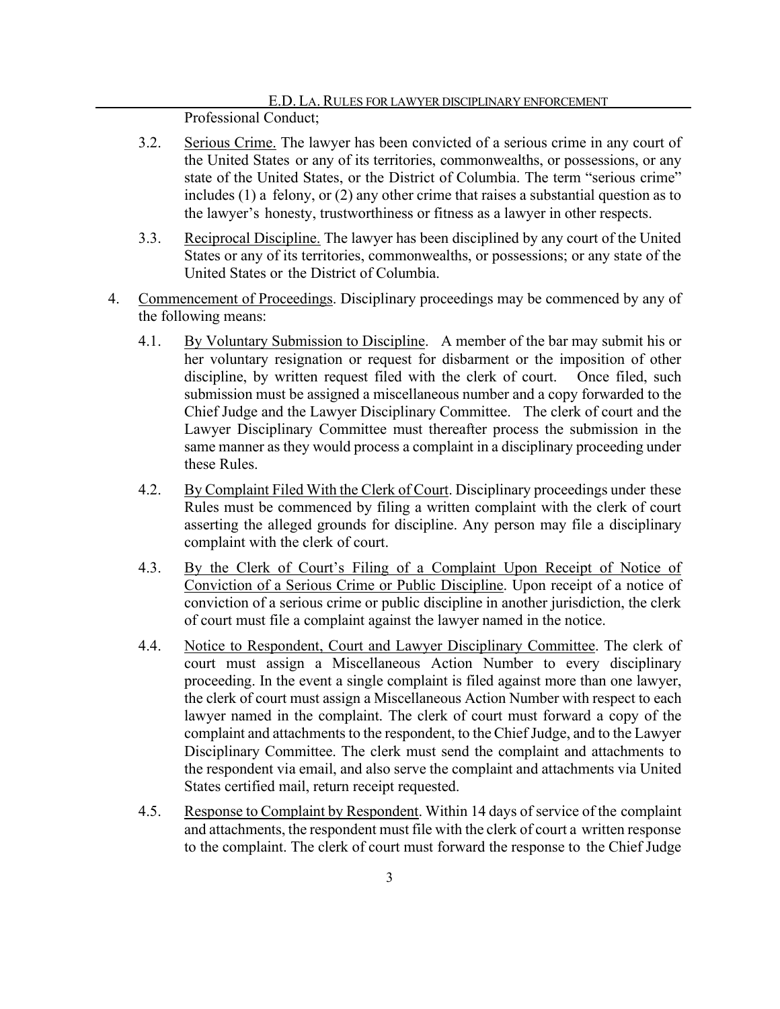#### E.D. LA.RULES FOR LAWYER DISCIPLINARY ENFORCEMENT Professional Conduct;

- 3.2. Serious Crime. The lawyer has been convicted of a serious crime in any court of the United States or any of its territories, commonwealths, or possessions, or any state of the United States, or the District of Columbia. The term "serious crime" includes (1) a felony, or (2) any other crime that raises a substantial question as to the lawyer's honesty, trustworthiness or fitness as a lawyer in other respects.
- 3.3. Reciprocal Discipline. The lawyer has been disciplined by any court of the United States or any of its territories, commonwealths, or possessions; or any state of the United States or the District of Columbia.
- 4. Commencement of Proceedings. Disciplinary proceedings may be commenced by any of the following means:
	- 4.1. By Voluntary Submission to Discipline. A member of the bar may submit his or her voluntary resignation or request for disbarment or the imposition of other discipline, by written request filed with the clerk of court. Once filed, such submission must be assigned a miscellaneous number and a copy forwarded to the Chief Judge and the Lawyer Disciplinary Committee. The clerk of court and the Lawyer Disciplinary Committee must thereafter process the submission in the same manner as they would process a complaint in a disciplinary proceeding under these Rules.
	- 4.2. By Complaint Filed With the Clerk of Court. Disciplinary proceedings under these Rules must be commenced by filing a written complaint with the clerk of court asserting the alleged grounds for discipline. Any person may file a disciplinary complaint with the clerk of court.
	- 4.3. By the Clerk of Court's Filing of a Complaint Upon Receipt of Notice of Conviction of a Serious Crime or Public Discipline. Upon receipt of a notice of conviction of a serious crime or public discipline in another jurisdiction, the clerk of court must file a complaint against the lawyer named in the notice.
	- 4.4. Notice to Respondent, Court and Lawyer Disciplinary Committee. The clerk of court must assign a Miscellaneous Action Number to every disciplinary proceeding. In the event a single complaint is filed against more than one lawyer, the clerk of court must assign a Miscellaneous Action Number with respect to each lawyer named in the complaint. The clerk of court must forward a copy of the complaint and attachments to the respondent, to the Chief Judge, and to the Lawyer Disciplinary Committee. The clerk must send the complaint and attachments to the respondent via email, and also serve the complaint and attachments via United States certified mail, return receipt requested.
	- 4.5. Response to Complaint by Respondent. Within 14 days of service of the complaint and attachments, the respondent must file with the clerk of court a written response to the complaint. The clerk of court must forward the response to the Chief Judge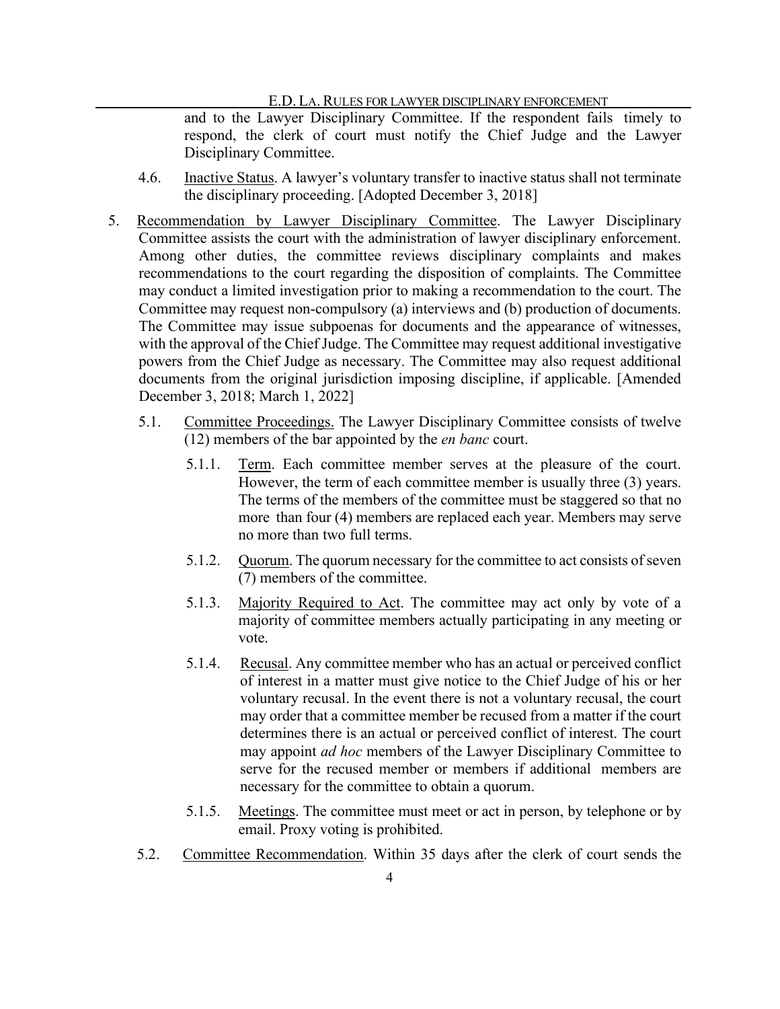and to the Lawyer Disciplinary Committee. If the respondent fails timely to respond, the clerk of court must notify the Chief Judge and the Lawyer Disciplinary Committee.

- 4.6. Inactive Status. A lawyer's voluntary transfer to inactive status shall not terminate the disciplinary proceeding. [Adopted December 3, 2018]
- 5. Recommendation by Lawyer Disciplinary Committee. The Lawyer Disciplinary Committee assists the court with the administration of lawyer disciplinary enforcement. Among other duties, the committee reviews disciplinary complaints and makes recommendations to the court regarding the disposition of complaints. The Committee may conduct a limited investigation prior to making a recommendation to the court. The Committee may request non-compulsory (a) interviews and (b) production of documents. The Committee may issue subpoenas for documents and the appearance of witnesses, with the approval of the Chief Judge. The Committee may request additional investigative powers from the Chief Judge as necessary. The Committee may also request additional documents from the original jurisdiction imposing discipline, if applicable. [Amended December 3, 2018; March 1, 2022]
	- 5.1. Committee Proceedings. The Lawyer Disciplinary Committee consists of twelve (12) members of the bar appointed by the *en banc* court.
		- 5.1.1. Term. Each committee member serves at the pleasure of the court. However, the term of each committee member is usually three (3) years. The terms of the members of the committee must be staggered so that no more than four (4) members are replaced each year. Members may serve no more than two full terms.
		- 5.1.2. Quorum. The quorum necessary for the committee to act consists of seven (7) members of the committee.
		- 5.1.3. Majority Required to Act. The committee may act only by vote of a majority of committee members actually participating in any meeting or vote.
		- 5.1.4. Recusal. Any committee member who has an actual or perceived conflict of interest in a matter must give notice to the Chief Judge of his or her voluntary recusal. In the event there is not a voluntary recusal, the court may order that a committee member be recused from a matter if the court determines there is an actual or perceived conflict of interest. The court may appoint *ad hoc* members of the Lawyer Disciplinary Committee to serve for the recused member or members if additional members are necessary for the committee to obtain a quorum.
		- 5.1.5. Meetings. The committee must meet or act in person, by telephone or by email. Proxy voting is prohibited.
	- 5.2. Committee Recommendation. Within 35 days after the clerk of court sends the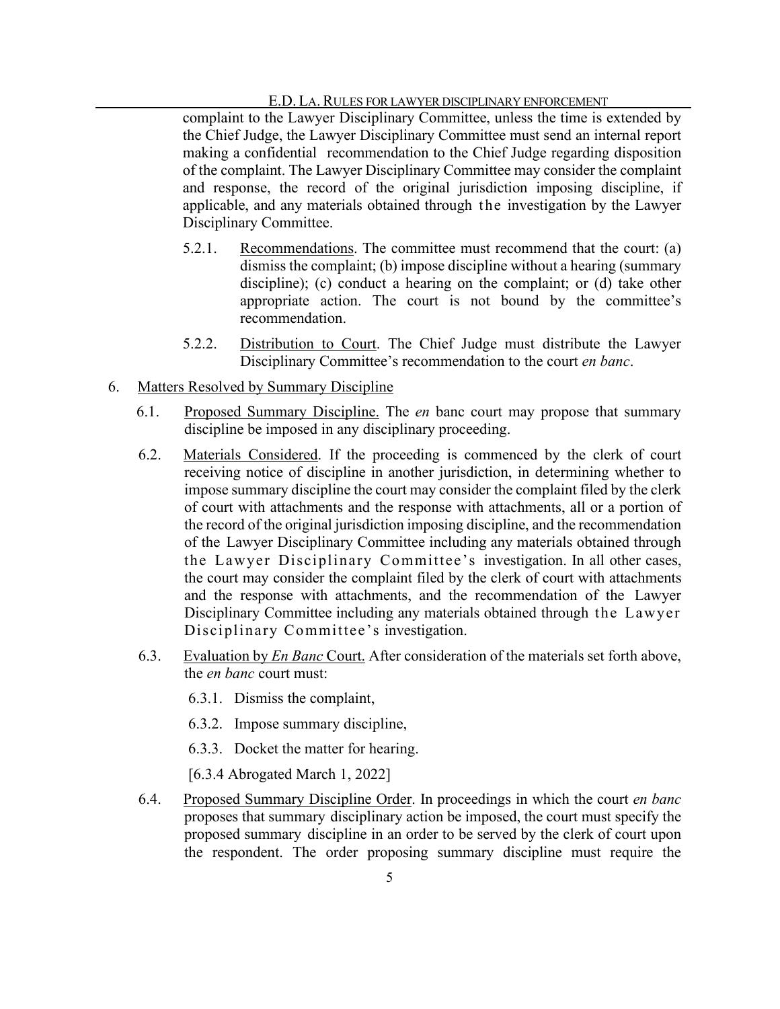complaint to the Lawyer Disciplinary Committee, unless the time is extended by the Chief Judge, the Lawyer Disciplinary Committee must send an internal report making a confidential recommendation to the Chief Judge regarding disposition of the complaint. The Lawyer Disciplinary Committee may consider the complaint and response, the record of the original jurisdiction imposing discipline, if applicable, and any materials obtained through the investigation by the Lawyer Disciplinary Committee.

- 5.2.1. Recommendations. The committee must recommend that the court: (a) dismiss the complaint; (b) impose discipline without a hearing (summary discipline); (c) conduct a hearing on the complaint; or (d) take other appropriate action. The court is not bound by the committee's recommendation.
- 5.2.2. Distribution to Court. The Chief Judge must distribute the Lawyer Disciplinary Committee's recommendation to the court *en banc*.
- 6. Matters Resolved by Summary Discipline
	- 6.1. Proposed Summary Discipline. The *en* banc court may propose that summary discipline be imposed in any disciplinary proceeding.
	- 6.2. Materials Considered. If the proceeding is commenced by the clerk of court receiving notice of discipline in another jurisdiction, in determining whether to impose summary discipline the court may consider the complaint filed by the clerk of court with attachments and the response with attachments, all or a portion of the record of the original jurisdiction imposing discipline, and the recommendation of the Lawyer Disciplinary Committee including any materials obtained through the Lawyer Disciplinary Committee's investigation. In all other cases, the court may consider the complaint filed by the clerk of court with attachments and the response with attachments, and the recommendation of the Lawyer Disciplinary Committee including any materials obtained through the Lawyer Disciplinary Committee's investigation.
	- 6.3. Evaluation by *En Banc* Court. After consideration of the materials set forth above, the *en banc* court must:
		- 6.3.1. Dismiss the complaint,
		- 6.3.2. Impose summary discipline,
		- 6.3.3. Docket the matter for hearing.
		- [6.3.4 Abrogated March 1, 2022]
	- 6.4. Proposed Summary Discipline Order. In proceedings in which the court *en banc*  proposes that summary disciplinary action be imposed, the court must specify the proposed summary discipline in an order to be served by the clerk of court upon the respondent. The order proposing summary discipline must require the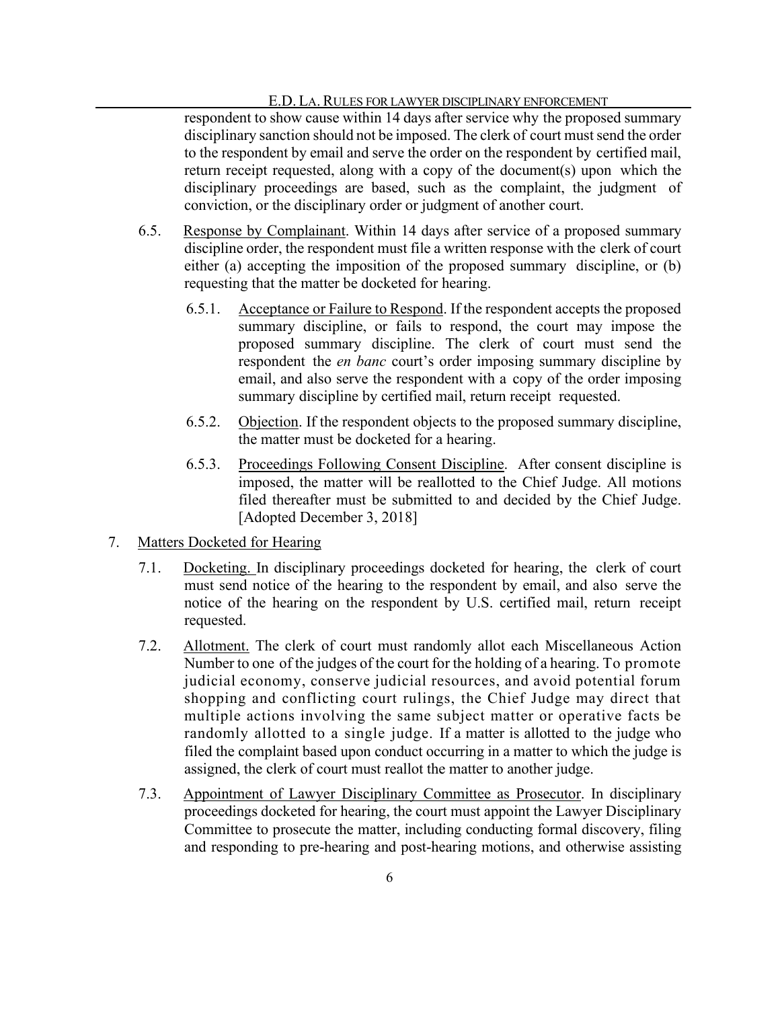respondent to show cause within 14 days after service why the proposed summary disciplinary sanction should not be imposed. The clerk of court must send the order to the respondent by email and serve the order on the respondent by certified mail, return receipt requested, along with a copy of the document(s) upon which the disciplinary proceedings are based, such as the complaint, the judgment of conviction, or the disciplinary order or judgment of another court.

- 6.5. Response by Complainant. Within 14 days after service of a proposed summary discipline order, the respondent must file a written response with the clerk of court either (a) accepting the imposition of the proposed summary discipline, or (b) requesting that the matter be docketed for hearing.
	- 6.5.1. Acceptance or Failure to Respond. If the respondent accepts the proposed summary discipline, or fails to respond, the court may impose the proposed summary discipline. The clerk of court must send the respondent the *en banc* court's order imposing summary discipline by email, and also serve the respondent with a copy of the order imposing summary discipline by certified mail, return receipt requested.
	- 6.5.2. Objection. If the respondent objects to the proposed summary discipline, the matter must be docketed for a hearing.
	- 6.5.3. Proceedings Following Consent Discipline. After consent discipline is imposed, the matter will be reallotted to the Chief Judge. All motions filed thereafter must be submitted to and decided by the Chief Judge. [Adopted December 3, 2018]
- 7. Matters Docketed for Hearing
	- 7.1. Docketing. In disciplinary proceedings docketed for hearing, the clerk of court must send notice of the hearing to the respondent by email, and also serve the notice of the hearing on the respondent by U.S. certified mail, return receipt requested.
	- 7.2. Allotment. The clerk of court must randomly allot each Miscellaneous Action Number to one of the judges of the court for the holding of a hearing. To promote judicial economy, conserve judicial resources, and avoid potential forum shopping and conflicting court rulings, the Chief Judge may direct that multiple actions involving the same subject matter or operative facts be randomly allotted to a single judge. If a matter is allotted to the judge who filed the complaint based upon conduct occurring in a matter to which the judge is assigned, the clerk of court must reallot the matter to another judge.
	- 7.3. Appointment of Lawyer Disciplinary Committee as Prosecutor. In disciplinary proceedings docketed for hearing, the court must appoint the Lawyer Disciplinary Committee to prosecute the matter, including conducting formal discovery, filing and responding to pre-hearing and post-hearing motions, and otherwise assisting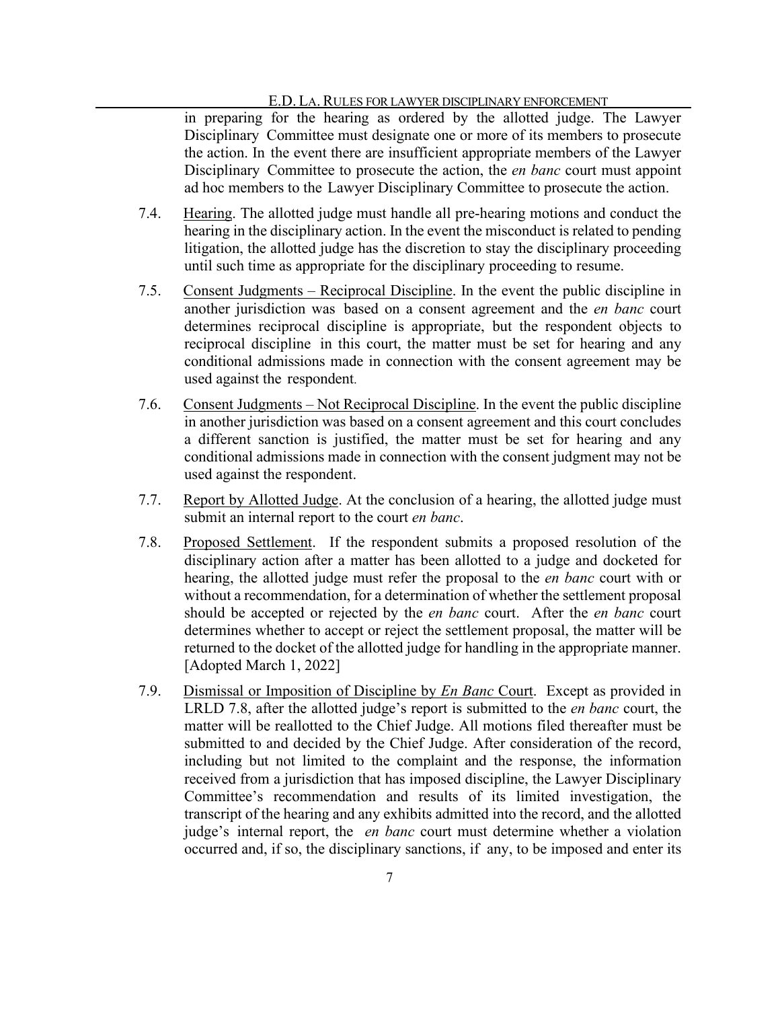in preparing for the hearing as ordered by the allotted judge. The Lawyer Disciplinary Committee must designate one or more of its members to prosecute the action. In the event there are insufficient appropriate members of the Lawyer Disciplinary Committee to prosecute the action, the *en banc* court must appoint ad hoc members to the Lawyer Disciplinary Committee to prosecute the action.

- 7.4. Hearing. The allotted judge must handle all pre-hearing motions and conduct the hearing in the disciplinary action. In the event the misconduct is related to pending litigation, the allotted judge has the discretion to stay the disciplinary proceeding until such time as appropriate for the disciplinary proceeding to resume.
- 7.5. Consent Judgments Reciprocal Discipline. In the event the public discipline in another jurisdiction was based on a consent agreement and the *en banc* court determines reciprocal discipline is appropriate, but the respondent objects to reciprocal discipline in this court, the matter must be set for hearing and any conditional admissions made in connection with the consent agreement may be used against the respondent.
- 7.6. Consent Judgments Not Reciprocal Discipline. In the event the public discipline in another jurisdiction was based on a consent agreement and this court concludes a different sanction is justified, the matter must be set for hearing and any conditional admissions made in connection with the consent judgment may not be used against the respondent.
- 7.7. Report by Allotted Judge. At the conclusion of a hearing, the allotted judge must submit an internal report to the court *en banc*.
- 7.8. Proposed Settlement. If the respondent submits a proposed resolution of the disciplinary action after a matter has been allotted to a judge and docketed for hearing, the allotted judge must refer the proposal to the *en banc* court with or without a recommendation, for a determination of whether the settlement proposal should be accepted or rejected by the *en banc* court. After the *en banc* court determines whether to accept or reject the settlement proposal, the matter will be returned to the docket of the allotted judge for handling in the appropriate manner. [Adopted March 1, 2022]
- 7.9. Dismissal or Imposition of Discipline by *En Banc* Court. Except as provided in LRLD 7.8, after the allotted judge's report is submitted to the *en banc* court, the matter will be reallotted to the Chief Judge. All motions filed thereafter must be submitted to and decided by the Chief Judge. After consideration of the record, including but not limited to the complaint and the response, the information received from a jurisdiction that has imposed discipline, the Lawyer Disciplinary Committee's recommendation and results of its limited investigation, the transcript of the hearing and any exhibits admitted into the record, and the allotted judge's internal report, the *en banc* court must determine whether a violation occurred and, if so, the disciplinary sanctions, if any, to be imposed and enter its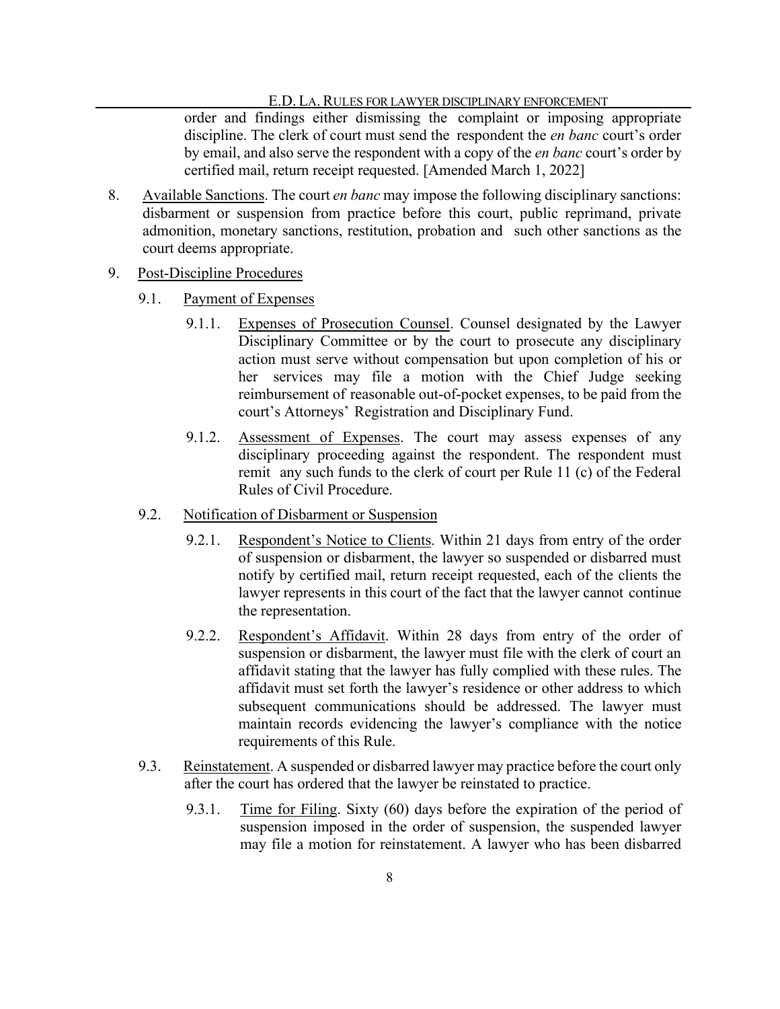order and findings either dismissing the complaint or imposing appropriate discipline. The clerk of court must send the respondent the *en banc* court's order by email, and also serve the respondent with a copy of the *en banc* court's order by certified mail, return receipt requested. [Amended March 1, 2022]

- 8. Available Sanctions. The court *en banc* may impose the following disciplinary sanctions: disbarment or suspension from practice before this court, public reprimand, private admonition, monetary sanctions, restitution, probation and such other sanctions as the court deems appropriate.
- 9. Post-Discipline Procedures
	- 9.1. Payment of Expenses
		- 9.1.1. Expenses of Prosecution Counsel. Counsel designated by the Lawyer Disciplinary Committee or by the court to prosecute any disciplinary action must serve without compensation but upon completion of his or her services may file a motion with the Chief Judge seeking reimbursement of reasonable out-of-pocket expenses, to be paid from the court's Attorneys' Registration and Disciplinary Fund.
		- 9.1.2. Assessment of Expenses. The court may assess expenses of any disciplinary proceeding against the respondent. The respondent must remit any such funds to the clerk of court per Rule 11 (c) of the Federal Rules of Civil Procedure.
	- 9.2. Notification of Disbarment or Suspension
		- 9.2.1. Respondent's Notice to Clients. Within 21 days from entry of the order of suspension or disbarment, the lawyer so suspended or disbarred must notify by certified mail, return receipt requested, each of the clients the lawyer represents in this court of the fact that the lawyer cannot continue the representation.
		- 9.2.2. Respondent's Affidavit. Within 28 days from entry of the order of suspension or disbarment, the lawyer must file with the clerk of court an affidavit stating that the lawyer has fully complied with these rules. The affidavit must set forth the lawyer's residence or other address to which subsequent communications should be addressed. The lawyer must maintain records evidencing the lawyer's compliance with the notice requirements of this Rule.
	- 9.3. Reinstatement. A suspended or disbarred lawyer may practice before the court only after the court has ordered that the lawyer be reinstated to practice.
		- 9.3.1. Time for Filing. Sixty (60) days before the expiration of the period of suspension imposed in the order of suspension, the suspended lawyer may file a motion for reinstatement. A lawyer who has been disbarred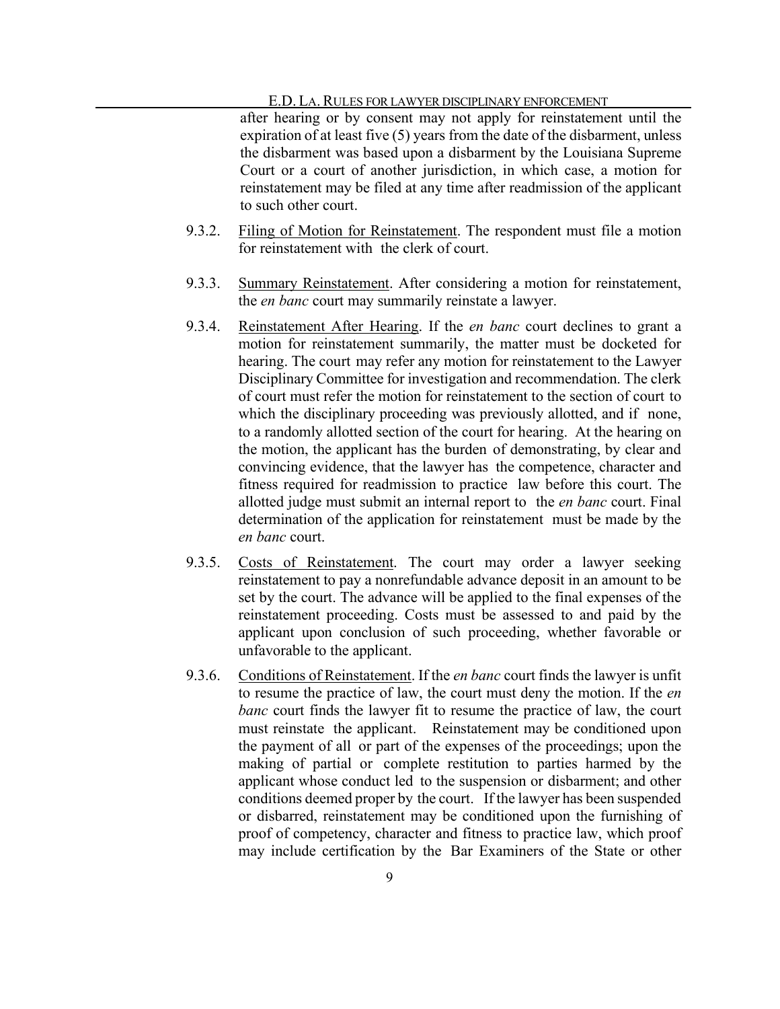after hearing or by consent may not apply for reinstatement until the expiration of at least five (5) years from the date of the disbarment, unless the disbarment was based upon a disbarment by the Louisiana Supreme Court or a court of another jurisdiction, in which case, a motion for reinstatement may be filed at any time after readmission of the applicant to such other court.

- 9.3.2. Filing of Motion for Reinstatement. The respondent must file a motion for reinstatement with the clerk of court.
- 9.3.3. Summary Reinstatement. After considering a motion for reinstatement, the *en banc* court may summarily reinstate a lawyer.
- 9.3.4. Reinstatement After Hearing. If the *en banc* court declines to grant a motion for reinstatement summarily, the matter must be docketed for hearing. The court may refer any motion for reinstatement to the Lawyer Disciplinary Committee for investigation and recommendation. The clerk of court must refer the motion for reinstatement to the section of court to which the disciplinary proceeding was previously allotted, and if none, to a randomly allotted section of the court for hearing. At the hearing on the motion, the applicant has the burden of demonstrating, by clear and convincing evidence, that the lawyer has the competence, character and fitness required for readmission to practice law before this court. The allotted judge must submit an internal report to the *en banc* court. Final determination of the application for reinstatement must be made by the *en banc* court.
- 9.3.5. Costs of Reinstatement. The court may order a lawyer seeking reinstatement to pay a nonrefundable advance deposit in an amount to be set by the court. The advance will be applied to the final expenses of the reinstatement proceeding. Costs must be assessed to and paid by the applicant upon conclusion of such proceeding, whether favorable or unfavorable to the applicant.
- 9.3.6. Conditions of Reinstatement. If the *en banc* court finds the lawyer is unfit to resume the practice of law, the court must deny the motion. If the *en banc* court finds the lawyer fit to resume the practice of law, the court must reinstate the applicant. Reinstatement may be conditioned upon the payment of all or part of the expenses of the proceedings; upon the making of partial or complete restitution to parties harmed by the applicant whose conduct led to the suspension or disbarment; and other conditions deemed proper by the court. If the lawyer has been suspended or disbarred, reinstatement may be conditioned upon the furnishing of proof of competency, character and fitness to practice law, which proof may include certification by the Bar Examiners of the State or other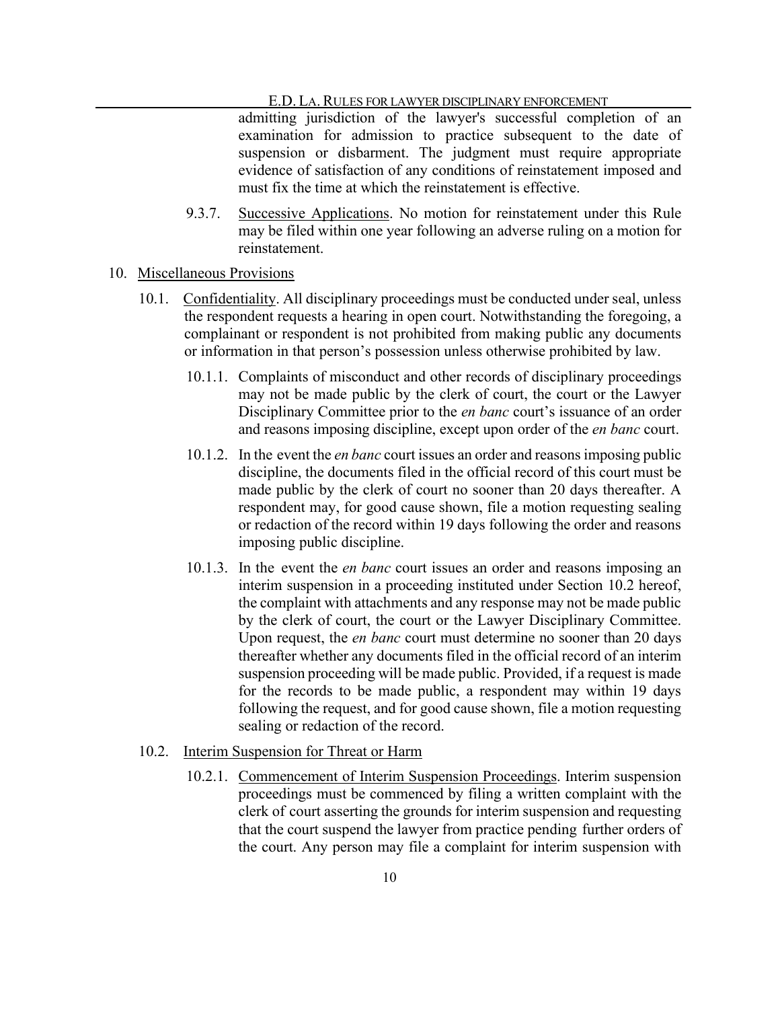admitting jurisdiction of the lawyer's successful completion of an examination for admission to practice subsequent to the date of suspension or disbarment. The judgment must require appropriate evidence of satisfaction of any conditions of reinstatement imposed and must fix the time at which the reinstatement is effective.

9.3.7. Successive Applications. No motion for reinstatement under this Rule may be filed within one year following an adverse ruling on a motion for reinstatement.

## 10. Miscellaneous Provisions

- 10.1. Confidentiality. All disciplinary proceedings must be conducted under seal, unless the respondent requests a hearing in open court. Notwithstanding the foregoing, a complainant or respondent is not prohibited from making public any documents or information in that person's possession unless otherwise prohibited by law.
	- 10.1.1. Complaints of misconduct and other records of disciplinary proceedings may not be made public by the clerk of court, the court or the Lawyer Disciplinary Committee prior to the *en banc* court's issuance of an order and reasons imposing discipline, except upon order of the *en banc* court.
	- 10.1.2. In the event the *en banc* court issues an order and reasonsimposing public discipline, the documents filed in the official record of this court must be made public by the clerk of court no sooner than 20 days thereafter. A respondent may, for good cause shown, file a motion requesting sealing or redaction of the record within 19 days following the order and reasons imposing public discipline.
	- 10.1.3. In the event the *en banc* court issues an order and reasons imposing an interim suspension in a proceeding instituted under Section 10.2 hereof, the complaint with attachments and any response may not be made public by the clerk of court, the court or the Lawyer Disciplinary Committee. Upon request, the *en banc* court must determine no sooner than 20 days thereafter whether any documents filed in the official record of an interim suspension proceeding will be made public. Provided, if a request is made for the records to be made public, a respondent may within 19 days following the request, and for good cause shown, file a motion requesting sealing or redaction of the record.

#### 10.2. Interim Suspension for Threat or Harm

10.2.1. Commencement of Interim Suspension Proceedings. Interim suspension proceedings must be commenced by filing a written complaint with the clerk of court asserting the grounds for interim suspension and requesting that the court suspend the lawyer from practice pending further orders of the court. Any person may file a complaint for interim suspension with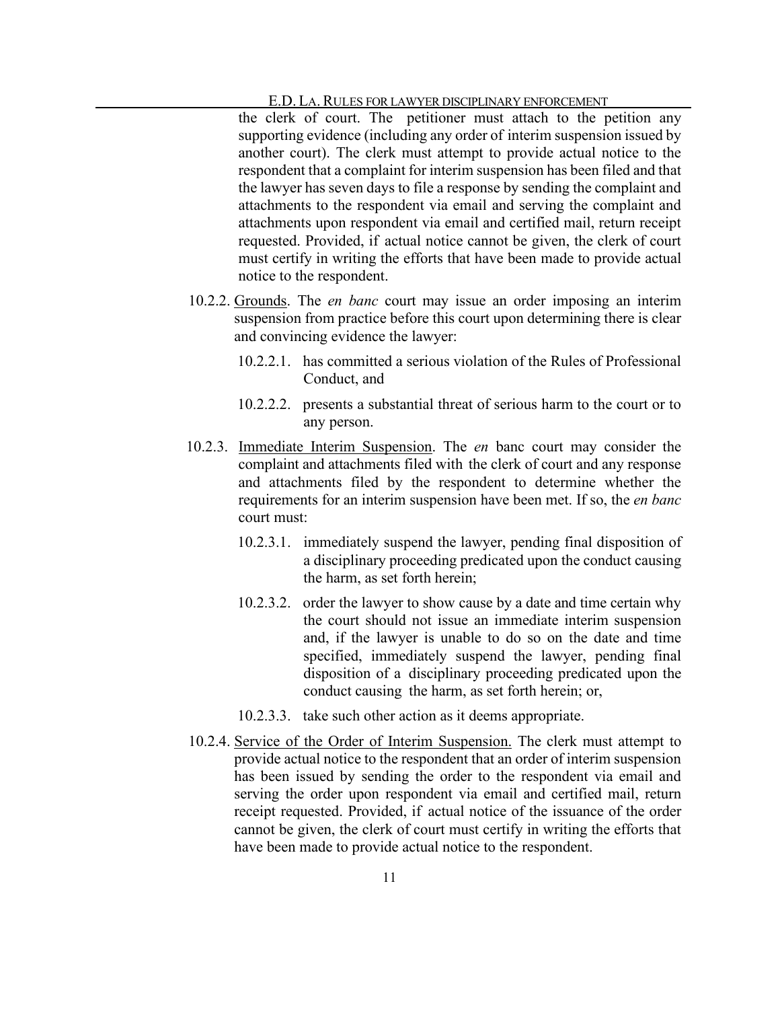the clerk of court. The petitioner must attach to the petition any supporting evidence (including any order of interim suspension issued by another court). The clerk must attempt to provide actual notice to the respondent that a complaint for interim suspension has been filed and that the lawyer has seven days to file a response by sending the complaint and attachments to the respondent via email and serving the complaint and attachments upon respondent via email and certified mail, return receipt requested. Provided, if actual notice cannot be given, the clerk of court must certify in writing the efforts that have been made to provide actual notice to the respondent.

- 10.2.2. Grounds. The *en banc* court may issue an order imposing an interim suspension from practice before this court upon determining there is clear and convincing evidence the lawyer:
	- 10.2.2.1. has committed a serious violation of the Rules of Professional Conduct, and
	- 10.2.2.2. presents a substantial threat of serious harm to the court or to any person.
- 10.2.3. Immediate Interim Suspension. The *en* banc court may consider the complaint and attachments filed with the clerk of court and any response and attachments filed by the respondent to determine whether the requirements for an interim suspension have been met. If so, the *en banc* court must:
	- 10.2.3.1. immediately suspend the lawyer, pending final disposition of a disciplinary proceeding predicated upon the conduct causing the harm, as set forth herein;
	- 10.2.3.2. order the lawyer to show cause by a date and time certain why the court should not issue an immediate interim suspension and, if the lawyer is unable to do so on the date and time specified, immediately suspend the lawyer, pending final disposition of a disciplinary proceeding predicated upon the conduct causing the harm, as set forth herein; or,
	- 10.2.3.3. take such other action as it deems appropriate.
- 10.2.4. Service of the Order of Interim Suspension. The clerk must attempt to provide actual notice to the respondent that an order of interim suspension has been issued by sending the order to the respondent via email and serving the order upon respondent via email and certified mail, return receipt requested. Provided, if actual notice of the issuance of the order cannot be given, the clerk of court must certify in writing the efforts that have been made to provide actual notice to the respondent.